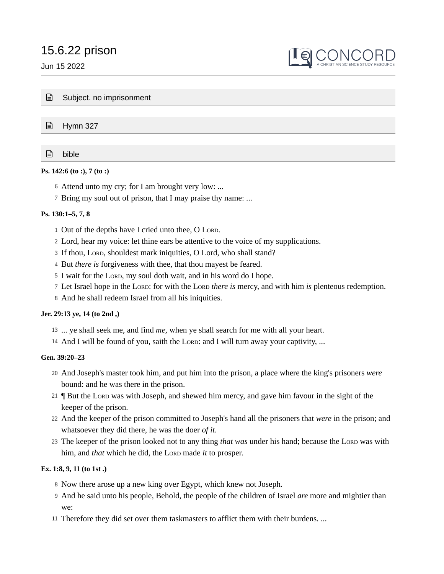# 15.6.22 prison

Jun 15 2022



|  | $\Box$ Subject. no imprisonment |
|--|---------------------------------|
|--|---------------------------------|

■ Hymn 327

bible

# **Ps. 142:6 (to :), 7 (to :)**

- Attend unto my cry; for I am brought very low: ... 6
- 7 Bring my soul out of prison, that I may praise thy name: ...

## **Ps. 130:1–5, 7, 8**

- 1 Out of the depths have I cried unto thee, O LORD.
- Lord, hear my voice: let thine ears be attentive to the voice of my supplications. 2
- 3 If thou, LORD, shouldest mark iniquities, O Lord, who shall stand?
- 4 But *there* is forgiveness with thee, that thou mayest be feared.
- 5 I wait for the LORD, my soul doth wait, and in his word do I hope.
- 7 Let Israel hope in the LORD: for with the LORD *there is* mercy, and with him *is* plenteous redemption.
- And he shall redeem Israel from all his iniquities. 8

## **Jer. 29:13 ye, 14 (to 2nd ,)**

- 13 ... ye shall seek me, and find *me*, when ye shall search for me with all your heart.
- 14 And I will be found of you, saith the LORD: and I will turn away your captivity, ...

## **Gen. 39:20–23**

- And Joseph's master took him, and put him into the prison, a place where the king's prisoners *were* 20 bound: and he was there in the prison.
- 21 | But the Lord was with Joseph, and shewed him mercy, and gave him favour in the sight of the keeper of the prison.
- And the keeper of the prison committed to Joseph's hand all the prisoners that *were* in the prison; and 22 whatsoever they did there, he was the doer *of it*.
- 23 The keeper of the prison looked not to any thing *that was* under his hand; because the Loro was with him, and *that* which he did, the LORD made *it* to prosper.

## **Ex. 1:8, 9, 11 (to 1st .)**

- 8 Now there arose up a new king over Egypt, which knew not Joseph.
- And he said unto his people, Behold, the people of the children of Israel *are* more and mightier than 9 we:
- 11 Therefore they did set over them taskmasters to afflict them with their burdens. ...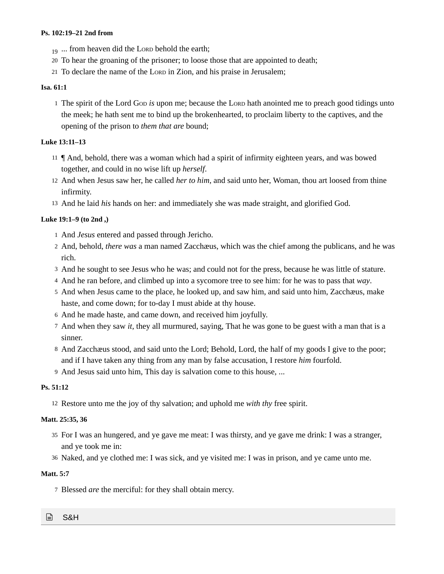## **Ps. 102:19–21 2nd from**

- $_{19}$  ... from heaven did the Lord behold the earth;
- To hear the groaning of the prisoner; to loose those that are appointed to death; 20
- 21 To declare the name of the Loro in Zion, and his praise in Jerusalem;

## **Isa. 61:1**

<sup>1</sup> The spirit of the Lord Gop *is* upon me; because the Loro hath anointed me to preach good tidings unto the meek; he hath sent me to bind up the brokenhearted, to proclaim liberty to the captives, and the opening of the prison to *them that are* bound;

# **Luke 13:11–13**

- ¶ And, behold, there was a woman which had a spirit of infirmity eighteen years, and was bowed 11 together, and could in no wise lift up *herself*.
- And when Jesus saw her, he called *her to him,* and said unto her, Woman, thou art loosed from thine 12 infirmity.
- 13 And he laid his hands on her: and immediately she was made straight, and glorified God.

# **Luke 19:1–9 (to 2nd ,)**

- 1 And *Jesus* entered and passed through Jericho.
- And, behold, *there was* a man named Zacchæus, which was the chief among the publicans, and he was 2 rich.
- 3 And he sought to see Jesus who he was; and could not for the press, because he was little of stature.
- And he ran before, and climbed up into a sycomore tree to see him: for he was to pass that *way*. 4
- 5 And when Jesus came to the place, he looked up, and saw him, and said unto him, Zacchæus, make haste, and come down; for to-day I must abide at thy house.
- And he made haste, and came down, and received him joyfully. 6
- And when they saw *it,* they all murmured, saying, That he was gone to be guest with a man that is a 7 sinner.
- 8 And Zacchæus stood, and said unto the Lord; Behold, Lord, the half of my goods I give to the poor; and if I have taken any thing from any man by false accusation, I restore *him* fourfold.
- And Jesus said unto him, This day is salvation come to this house, ... 9

# **Ps. 51:12**

12 Restore unto me the joy of thy salvation; and uphold me *with thy* free spirit.

# **Matt. 25:35, 36**

- For I was an hungered, and ye gave me meat: I was thirsty, and ye gave me drink: I was a stranger, 35 and ye took me in:
- Naked, and ye clothed me: I was sick, and ye visited me: I was in prison, and ye came unto me. 36

# **Matt. 5:7**

7 Blessed *are* the merciful: for they shall obtain mercy.

# ⊟ S&H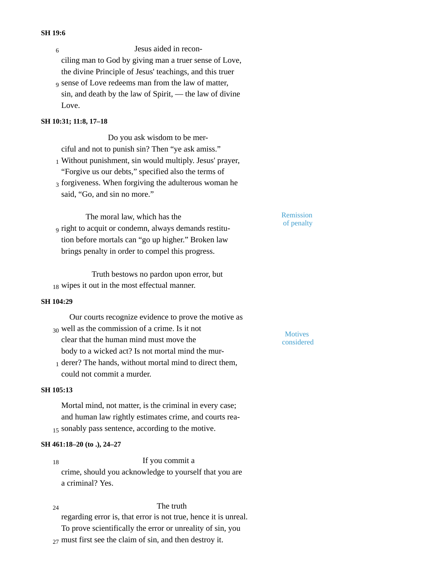#### **SH 19:6**

Jesus aided in reconciling man to God by giving man a truer sense of Love, the divine Principle of Jesus' teachings, and this truer 6

<sub>9</sub> sense of Love redeems man from the law of matter, sin, and death by the law of Spirit, — the law of divine Love.

# **SH 10:31; 11:8, 17–18**

Do you ask wisdom to be merciful and not to punish sin? Then "ye ask amiss."

- Without punishment, sin would multiply. Jesus' prayer, 1 "Forgive us our debts," specified also the terms of
- $_3$  forgiveness. When forgiving the adulterous woman he said, "Go, and sin no more."

The moral law, which has the right to acquit or condemn, always demands restitu-9 tion before mortals can "go up higher." Broken law brings penalty in order to compel this progress.

Truth bestows no pardon upon error, but 18 wipes it out in the most effectual manner.

#### **SH 104:29**

Our courts recognize evidence to prove the motive as well as the commission of a crime. Is it not <sup>30</sup> Motives clear that the human mind must move the

1 derer? The hands, without mortal mind to direct them, could not commit a murder.

body to a wicked act? Is not mortal mind the mur-

#### **SH 105:13**

Mortal mind, not matter, is the criminal in every case; and human law rightly estimates crime, and courts rea-15 sonably pass sentence, according to the motive.

## **SH 461:18–20 (to .), 24–27**

If you commit a crime, should you acknowledge to yourself that you are a criminal? Yes. 18

The truth regarding error is, that error is not true, hence it is unreal. To prove scientifically the error or unreality of sin, you  $_{27}$  must first see the claim of sin, and then destroy it. 24

Remission of penalty

considered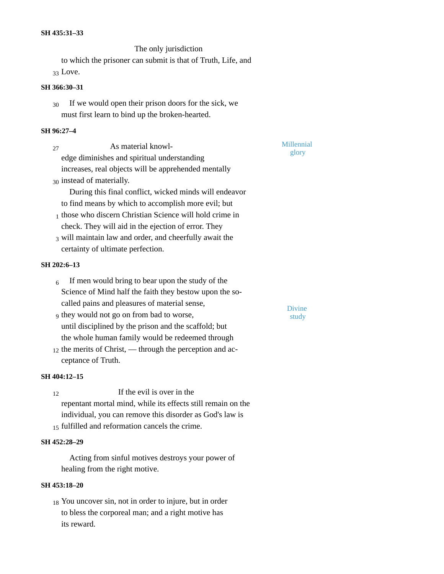The only jurisdiction to which the prisoner can submit is that of Truth, Life, and 33 Love.

# **SH 366:30–31**

If we would open their prison doors for the sick, we must first learn to bind up the broken-hearted. 30

## **SH 96:27–4**

As material knowl-<sup>27</sup> Millennial edge diminishes and spiritual understanding increases, real objects will be apprehended mentally 30 instead of materially. During this final conflict, wicked minds will endeavor to find means by which to accomplish more evil; but  $_1$  those who discern Christian Science will hold crime in check. They will aid in the ejection of error. They 3 will maintain law and order, and cheerfully await the

certainty of ultimate perfection.

#### **SH 202:6–13**

- If men would bring to bear upon the study of the Science of Mind half the faith they bestow upon the socalled pains and pleasures of material sense, 6
- g they would not go on from bad to worse, study until disciplined by the prison and the scaffold; but the whole human family would be redeemed through
- $_{12}$  the merits of Christ, through the perception and acceptance of Truth.

## **SH 404:12–15**

If the evil is over in the repentant mortal mind, while its effects still remain on the individual, you can remove this disorder as God's law is  $_{15}$  fulfilled and reformation cancels the crime. 12

## **SH 452:28–29**

Acting from sinful motives destroys your power of healing from the right motive.

## **SH 453:18–20**

18 You uncover sin, not in order to injure, but in order to bless the corporeal man; and a right motive has its reward.

glory

**Divine**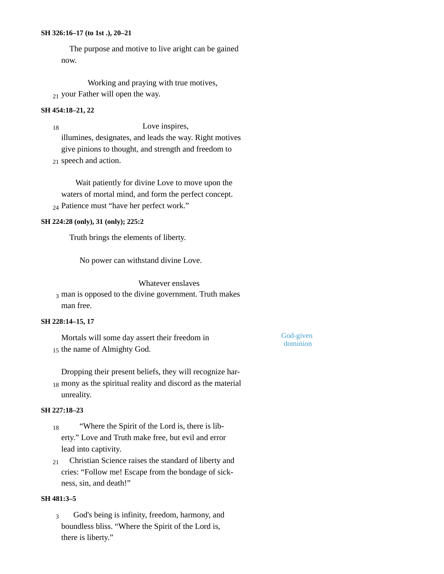### **SH 326:16–17 (to 1st .), 20–21**

The purpose and motive to live aright can be gained now.

Working and praying with true motives,  $_{21}$  your Father will open the way.

#### **SH 454:18–21, 22**

Love inspires, illumines, designates, and leads the way. Right motives give pinions to thought, and strength and freedom to 18

21 speech and action.

Wait patiently for divine Love to move upon the waters of mortal mind, and form the perfect concept. <sub>24</sub> Patience must "have her perfect work."

#### **SH 224:28 (only), 31 (only); 225:2**

Truth brings the elements of liberty.

No power can withstand divine Love.

Whatever enslaves

 $_3$  man is opposed to the divine government. Truth makes man free.

#### **SH 228:14–15, 17**

Mortals will some day assert their freedom in 15 the name of Almighty God.

God-given dominion

Dropping their present beliefs, they will recognize har-18 mony as the spiritual reality and discord as the material unreality.

# **SH 227:18–23**

- "Where the Spirit of the Lord is, there is liberty." Love and Truth make free, but evil and error lead into captivity. 18
- Christian Science raises the standard of liberty and cries: "Follow me! Escape from the bondage of sickness, sin, and death!" 21

## **SH 481:3–5**

God's being is infinity, freedom, harmony, and boundless bliss. "Where the Spirit of the Lord is, there is liberty." 3